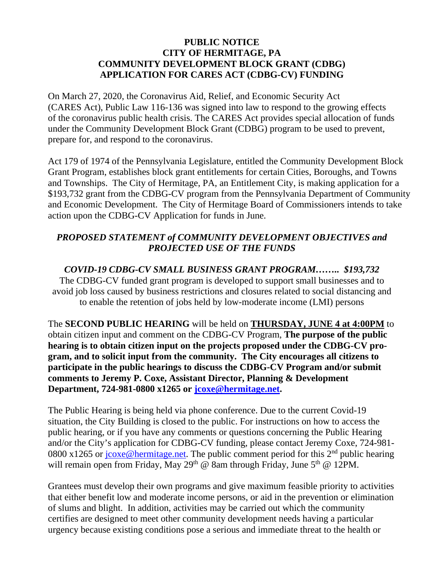## **PUBLIC NOTICE CITY OF HERMITAGE, PA COMMUNITY DEVELOPMENT BLOCK GRANT (CDBG) APPLICATION FOR CARES ACT (CDBG-CV) FUNDING**

On March 27, 2020, the Coronavirus Aid, Relief, and Economic Security Act (CARES Act), Public Law 116-136 was signed into law to respond to the growing effects of the coronavirus public health crisis. The CARES Act provides special allocation of funds under the Community Development Block Grant (CDBG) program to be used to prevent, prepare for, and respond to the coronavirus.

Act 179 of 1974 of the Pennsylvania Legislature, entitled the Community Development Block Grant Program, establishes block grant entitlements for certain Cities, Boroughs, and Towns and Townships. The City of Hermitage, PA, an Entitlement City, is making application for a \$193,732 grant from the CDBG-CV program from the Pennsylvania Department of Community and Economic Development. The City of Hermitage Board of Commissioners intends to take action upon the CDBG-CV Application for funds in June.

## *PROPOSED STATEMENT of COMMUNITY DEVELOPMENT OBJECTIVES and PROJECTED USE OF THE FUNDS*

*COVID-19 CDBG-CV SMALL BUSINESS GRANT PROGRAM…….. \$193,732*  The CDBG-CV funded grant program is developed to support small businesses and to avoid job loss caused by business restrictions and closures related to social distancing and to enable the retention of jobs held by low-moderate income (LMI) persons

The **SECOND PUBLIC HEARING** will be held on **THURSDAY, JUNE 4 at 4:00PM** to obtain citizen input and comment on the CDBG-CV Program, **The purpose of the public hearing is to obtain citizen input on the projects proposed under the CDBG-CV program, and to solicit input from the community. The City encourages all citizens to participate in the public hearings to discuss the CDBG-CV Program and/or submit comments to Jeremy P. Coxe, Assistant Director, Planning & Development Department, 724-981-0800 x1265 or jcoxe@hermitage.net.** 

The Public Hearing is being held via phone conference. Due to the current Covid-19 situation, the City Building is closed to the public. For instructions on how to access the public hearing, or if you have any comments or questions concerning the Public Hearing and/or the City's application for CDBG-CV funding, please contact Jeremy Coxe, 724-981- 0800 x1265 or  $\frac{j \cos(\theta)}{2}$  bermitage.net. The public comment period for this 2<sup>nd</sup> public hearing will remain open from Friday, May 29<sup>th</sup> @ 8am through Friday, June 5<sup>th</sup> @ 12PM.

Grantees must develop their own programs and give maximum feasible priority to activities that either benefit low and moderate income persons, or aid in the prevention or elimination of slums and blight. In addition, activities may be carried out which the community certifies are designed to meet other community development needs having a particular urgency because existing conditions pose a serious and immediate threat to the health or